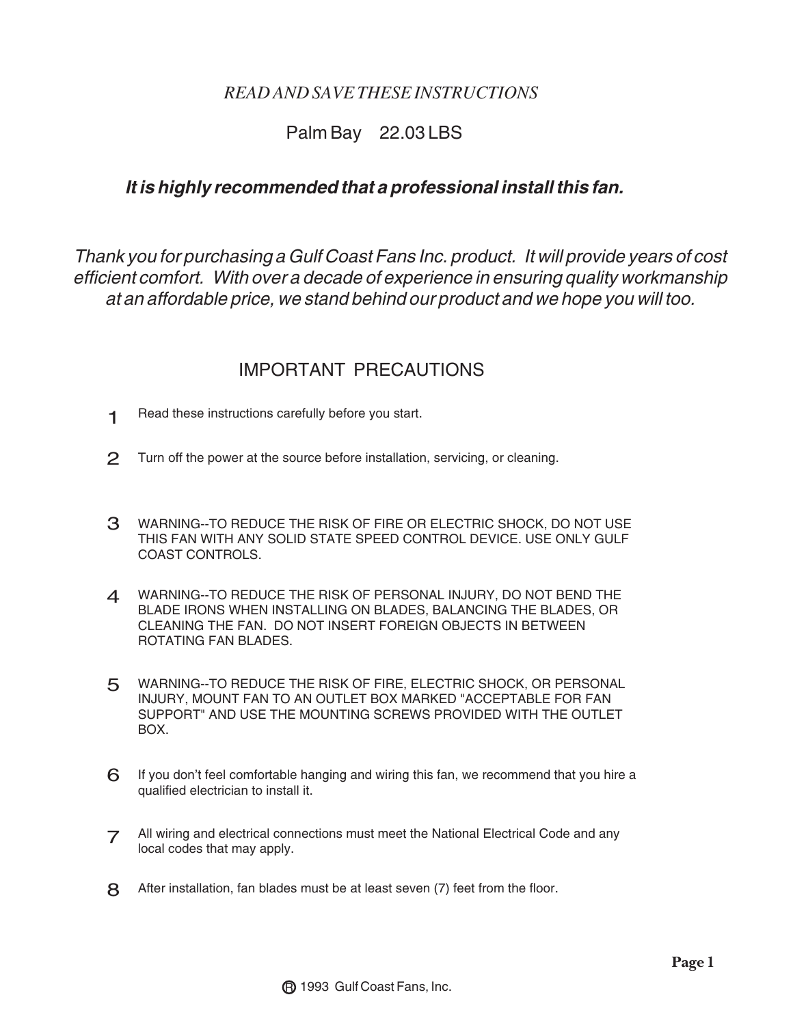### *READ AND SAVE THESE INSTRUCTIONS*

# Palm Bay 22.03 LBS

## *It is highly recommended that a professional install this fan.*

*Thank you for purchasing a Gulf Coast Fans Inc. product. It will provide years of cost efficient comfort. With over a decade of experience in ensuring quality workmanship at an affordable price, we stand behind our product and we hope you will too.* 

# IMPORTANT PRECAUTIONS

- Read these instructions carefully before you start. 1
- Turn off the power at the source before installation, servicing, or cleaning.  $\mathcal{P}$
- 3 WARNING--TO REDUCE THE RISK OF FIRE OR ELECTRIC SHOCK, DO NOT USE THIS FAN WITH ANY SOLID STATE SPEED CONTROL DEVICE. USE ONLY GULF COAST CONTROLS.
- 4 WARNING--TO REDUCE THE RISK OF PERSONAL INJURY, DO NOT BEND THE BLADE IRONS WHEN INSTALLING ON BLADES, BALANCING THE BLADES, OR CLEANING THE FAN. DO NOT INSERT FOREIGN OBJECTS IN BETWEEN ROTATING FAN BLADES.
- 5 WARNING--TO REDUCE THE RISK OF FIRE, ELECTRIC SHOCK, OR PERSONAL INJURY, MOUNT FAN TO AN OUTLET BOX MARKED "ACCEPTABLE FOR FAN SUPPORT" AND USE THE MOUNTING SCREWS PROVIDED WITH THE OUTLET BOX.
- If you don't feel comfortable hanging and wiring this fan, we recommend that you hire a qualified electrician to install it. 6
- 7 All wiring and electrical connections must meet the National Electrical Code and any local codes that may apply local codes that may apply.
- 8 After installation, fan blades must be at least seven (7) feet from the floor.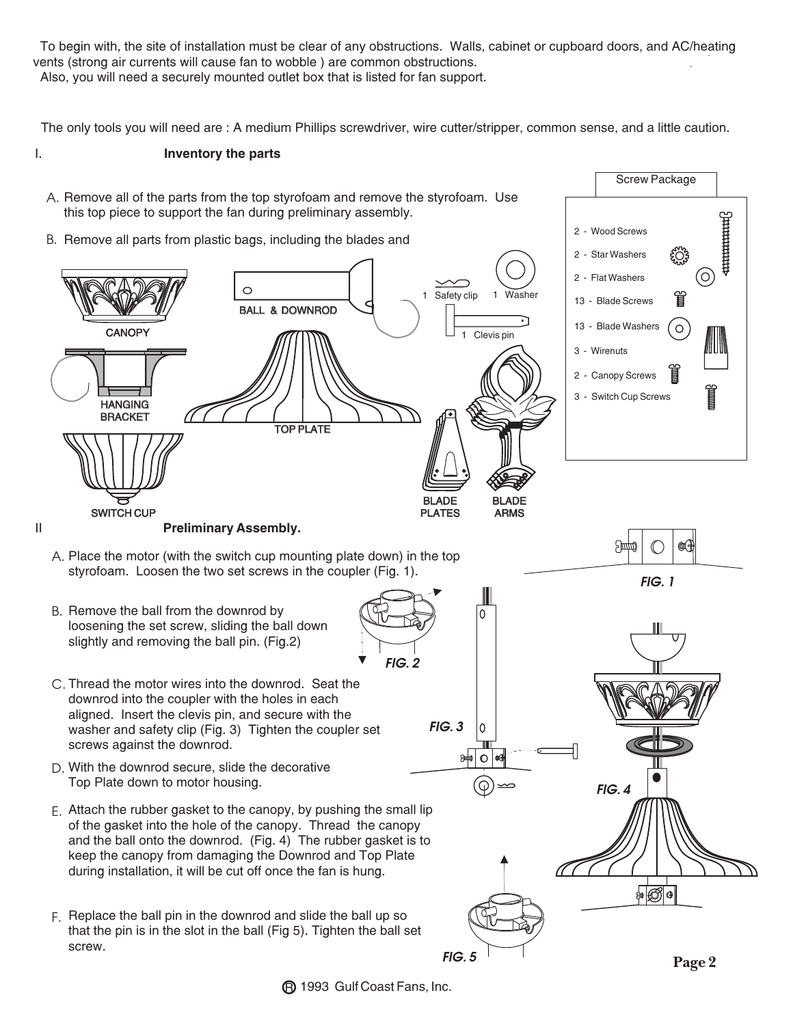To begin with, the site of installation must be clear of any obstructions. Walls, cabinet or cupboard doors, and AC/heating vents (strong air currents will cause fan to wobble ) are common obstructions. Also, you will need a securely mounted outlet box that is listed for fan support.

The only tools you will need are : A medium Phillips screwdriver, wire cutter/stripper, common sense, and a little caution.

#### I. **Inventory the parts** Screw Package A. Remove all of the parts from the top styrofoam and remove the styrofoam. Use this top piece to support the fan during preliminary assembly. <del>ummmn</del>ß 2 - Wood Screws B. Remove all parts from plastic bags, including the blades and 2 - Star Washers ફ઼<u>૽</u>ૻૺ  $\rm [O]$ 2 - Flat Washers O 1 Safety clip 管 13 - Blade Screws BALL & DOWNROD 13 - Blade Washers  $\circ$ **CANOPY** Clevis pin 3 - Wirenuts 2 - Canopy Screws 3 - Switch Cup Screws **HANGING** BRACKET TOP PLATE BLADE BLADE SWITCH CUP PLATES ARMS II **Preliminary Assembly.** <u>дфф</u> Œ A. Place the motor (with the switch cup mounting plate down) in the top styrofoam. Loosen the two set screws in the coupler (Fig. 1). *FIG. 1* B. Remove the ball from the downrod by 0 loosening the set screw, sliding the ball down slightly and removing the ball pin. (Fig.2) *FIG. 2* C. Thread the motor wires into the downrod. Seat the downrod into the coupler with the holes in each aligned. Insert the clevis pin, and secure with the *FIG. 3* washer and safety clip (Fig. 3) Tighten the coupler set screws against the downrod. 5000 ∩ D. With the downrod secure, slide the decorative Top Plate down to motor housing. *FIG. 4*Attach the rubber gasket to the canopy, by pushing the small lip E. of the gasket into the hole of the canopy. Thread the canopy and the ball onto the downrod. (Fig. 4) The rubber gasket is to keep the canopy from damaging the Downrod and Top Plate during installation, it will be cut off once the fan is hung. ₩∅  $\Theta$ F. Replace the ball pin in the downrod and slide the ball up so that the pin is in the slot in the ball (Fig 5). Tighten the ball set

*FIG. 5*

screw.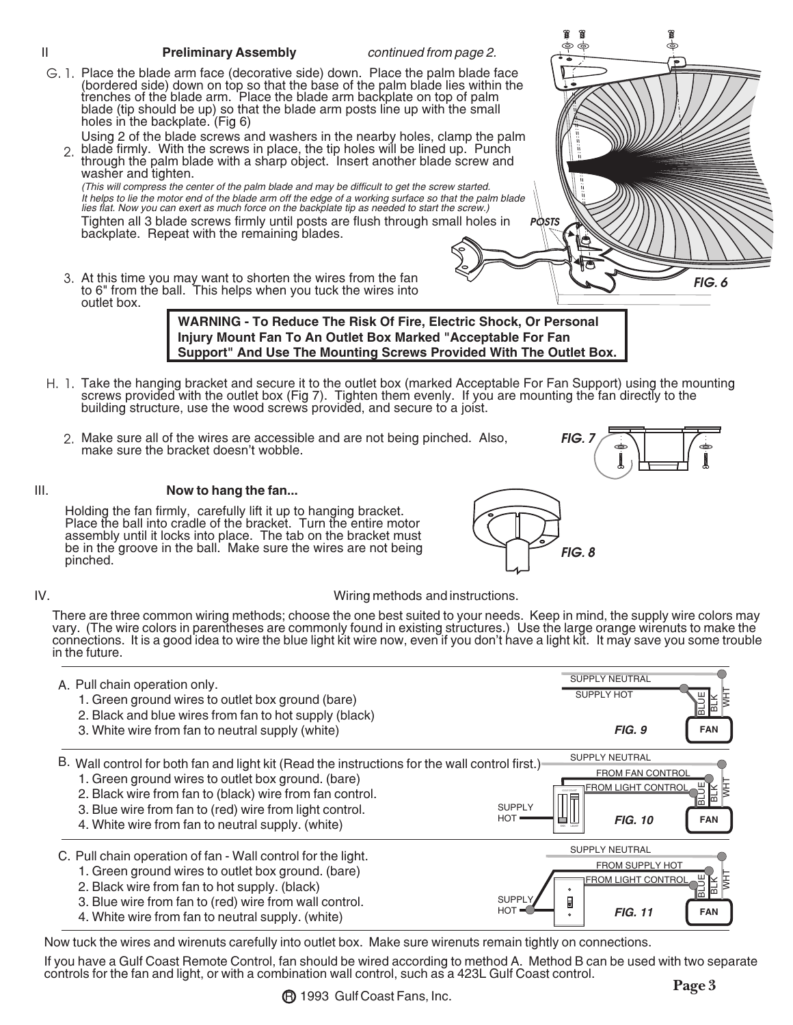#### II **Preliminary Assembly** *continued from page 2.* G. 1. Place the blade arm face (decorative side) down. Place the palm blade face (bordered side) down on top so that the base of the palm blade lies within the trenches of the blade arm. Place the blade arm backplate on top of palm blade (tip should be up) so that the blade arm posts line up with the small holes in the backplate. (Fig 6) Using 2 of the blade screws and washers in the nearby holes, clamp the palm blade firmly. With the screws in place, the tip holes will be lined up. Punch through the palm blade with a sharp object. Insert another blade screw and washer and tighten. *(This will compress the center of the palm blade and may be difficult to get the screw started. It helps to lie the motor end of the blade arm off the edge of a working surface so that the palm blade lies flat. Now you can exert as much force on the backplate tip as needed to start the screw.)* Tighten all 3 blade screws firmly until posts are flush through small holes in backplate. Repeat with the remaining blades. H. 1. Take the hanging bracket and secure it to the outlet box (marked Acceptable For Fan Support) using the mounting screws provided with the outlet box (Fig 7). Tighten them evenly. If you are mounting the fan directly to the building structure, use the wood screws provided, and secure to a joist. **WARNING - To Reduce The Risk Of Fire, Electric Shock, Or Personal Injury Mount Fan To An Outlet Box Marked "Acceptable For Fan Support" And Use The Mounting Screws Provided With The Outlet Box.** 2. Make sure all of the wires are accessible and are not being pinched. Also, 2. 3. At this time you may want to shorten the wires from the fan make sure the bracket doesn't wobble. III. **Now to hang the fan...** *FIG. 7* to 6" from the ball. This helps when you tuck the wires into outlet box. *FIG. 6 POSTS*

Holding the fan firmly, carefully lift it up to hanging bracket. Place the ball into cradle of the bracket. Turn the entire motor assembly until it locks into place. The tab on the bracket must be in the groove in the ball. Make sure the wires are not being pinched.



### IV. Wiring methods and instructions.

There are three common wiring methods; choose the one best suited to your needs. Keep in mind, the supply wire colors may vary. (The wire colors in parentheses are commonly found in existing structures.) Use the large orange wirenuts to make the connections. It is a good idea to wire the blue light kit wire now, even if you don't have a light kit. It may save you some trouble in the future.

| A. Pull chain operation only.                                                                                                                                                                                                                                                                                                                            | <b>SUPPLY NEUTRAL</b>                                                                                                                |
|----------------------------------------------------------------------------------------------------------------------------------------------------------------------------------------------------------------------------------------------------------------------------------------------------------------------------------------------------------|--------------------------------------------------------------------------------------------------------------------------------------|
| 1. Green ground wires to outlet box ground (bare)                                                                                                                                                                                                                                                                                                        | <b>SUPPLY HOT</b>                                                                                                                    |
| 2. Black and blue wires from fan to hot supply (black)                                                                                                                                                                                                                                                                                                   | FIG. 9                                                                                                                               |
| 3. White wire from fan to neutral supply (white)                                                                                                                                                                                                                                                                                                         | <b>FAN</b>                                                                                                                           |
| B. Wall control for both fan and light kit (Read the instructions for the wall control first.)<br>1. Green ground wires to outlet box ground. (bare)<br>2. Black wire from fan to (black) wire from fan control.<br>3. Blue wire from fan to (red) wire from light control.<br><b>SUPPLY</b><br>HOT<br>4. White wire from fan to neutral supply. (white) | <b>SUPPLY NEUTRAL</b><br><b>FROM FAN CONTROL</b><br><b>FROM LIGHT CONTROL</b><br>Ę<br>GLECOAST<br>lm<br><b>FIG. 10</b><br><b>FAN</b> |
| C. Pull chain operation of fan - Wall control for the light.<br>1. Green ground wires to outlet box ground. (bare)<br>2. Black wire from fan to hot supply. (black)<br><b>SUPPL</b><br>3. Blue wire from fan to (red) wire from wall control.<br>HOT<br>4. White wire from fan to neutral supply. (white)                                                | <b>SUPPLY NEUTRAL</b><br>FROM SUPPLY HOT<br><b>FROM LIGHT CONTROL</b><br>₹<br>$\circ$<br>E<br><b>FIG. 11</b><br><b>FAN</b>           |

Now tuck the wires and wirenuts carefully into outlet box. Make sure wirenuts remain tightly on connections.

If you have a Gulf Coast Remote Control, fan should be wired according to method A. Method B can be used with two separate controls for the fan and light, or with a combination wall control, such as a 423L Gulf Coast control.